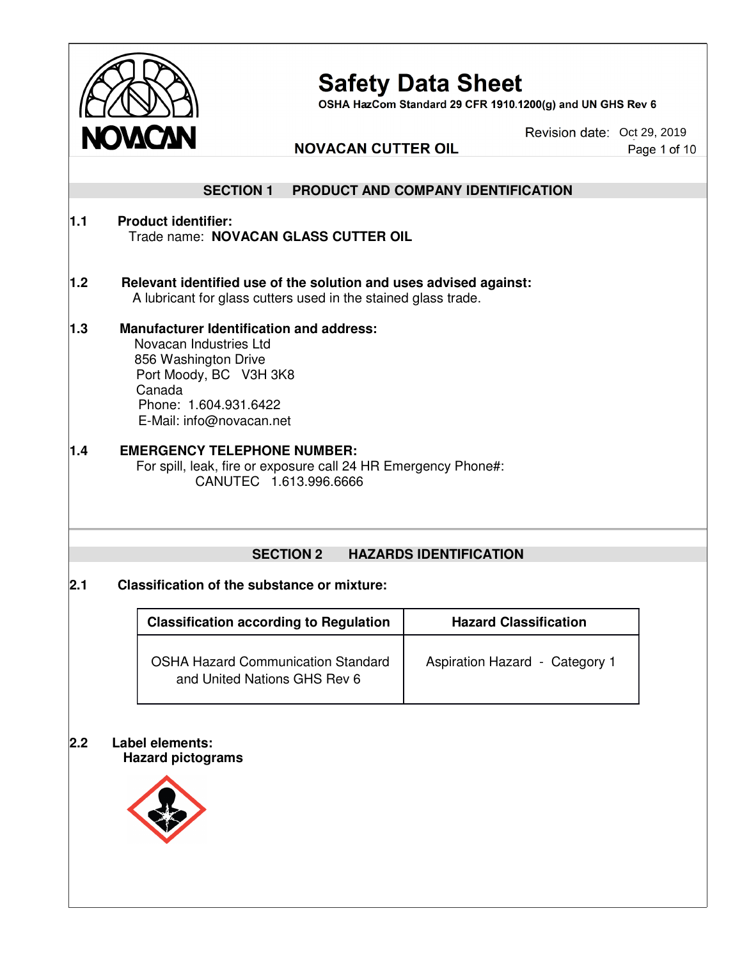

# Safety Data Sheet<br>OSHA HazCom Standard 29 CFR 1910.1200(g) and UN GHS Rev 6

Revision date: Oct 29, 2019 Page 1 of 10

|     | <b>IWULYULY</b>                                                                                                                                                                            | <b>NOVACAN CUTTER OIL</b>                                                                                                           |                                    | Page 1 of 10 |
|-----|--------------------------------------------------------------------------------------------------------------------------------------------------------------------------------------------|-------------------------------------------------------------------------------------------------------------------------------------|------------------------------------|--------------|
|     |                                                                                                                                                                                            |                                                                                                                                     |                                    |              |
|     | <b>SECTION 1</b>                                                                                                                                                                           |                                                                                                                                     | PRODUCT AND COMPANY IDENTIFICATION |              |
| 1.1 | <b>Product identifier:</b>                                                                                                                                                                 | Trade name: NOVACAN GLASS CUTTER OIL                                                                                                |                                    |              |
| 1.2 |                                                                                                                                                                                            | Relevant identified use of the solution and uses advised against:<br>A lubricant for glass cutters used in the stained glass trade. |                                    |              |
| 1.3 | <b>Manufacturer Identification and address:</b><br>Novacan Industries Ltd<br>856 Washington Drive<br>Port Moody, BC V3H 3K8<br>Canada<br>Phone: 1.604.931.6422<br>E-Mail: info@novacan.net |                                                                                                                                     |                                    |              |
| 1.4 | <b>EMERGENCY TELEPHONE NUMBER:</b>                                                                                                                                                         | For spill, leak, fire or exposure call 24 HR Emergency Phone#:<br>CANUTEC 1.613.996.6666                                            |                                    |              |
|     |                                                                                                                                                                                            | <b>SECTION 2</b>                                                                                                                    | <b>HAZARDS IDENTIFICATION</b>      |              |
| 2.1 | <b>Classification of the substance or mixture:</b>                                                                                                                                         |                                                                                                                                     |                                    |              |
|     |                                                                                                                                                                                            | <b>Classification according to Regulation</b>                                                                                       | <b>Hazard Classification</b>       |              |
|     |                                                                                                                                                                                            | <b>OSHA Hazard Communication Standard</b><br>and United Nations GHS Rev 6                                                           | Aspiration Hazard - Category 1     |              |
| 2.2 | <b>Label elements:</b><br><b>Hazard pictograms</b>                                                                                                                                         |                                                                                                                                     |                                    |              |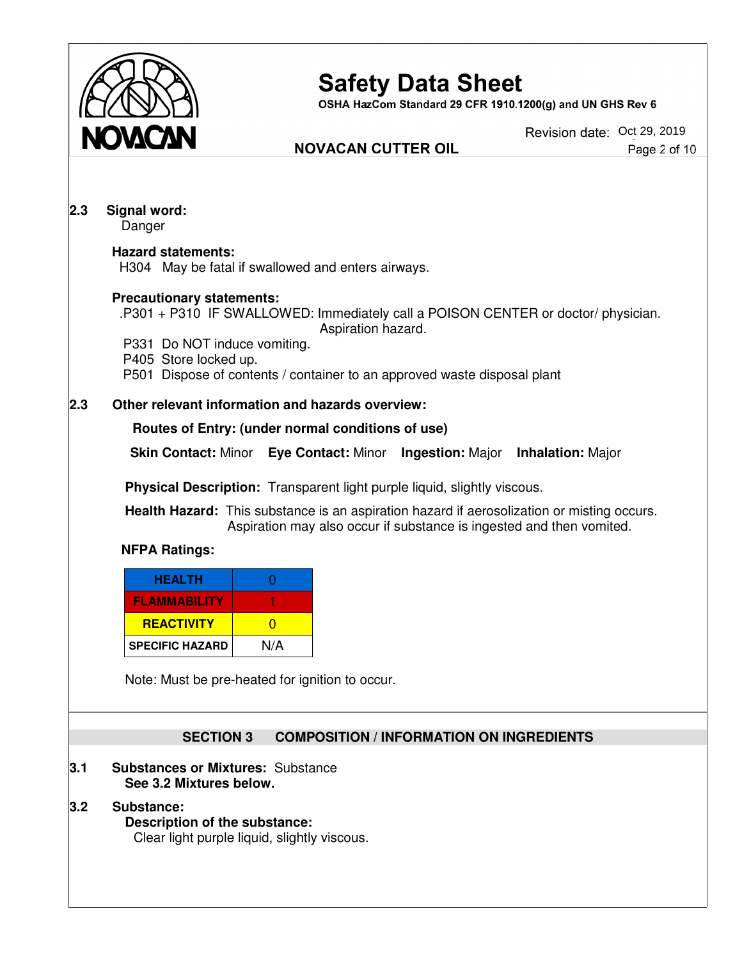

OSHA HazCom Standard 29 CFR 1910.1200(g) and UN GHS Rev 6

#### **NOVACAN CUTTER OIL**

Revision date: Oct 29, 2019 Page 2 of 10

#### **2.3 Signal word:**

Danger

#### **Hazard statements:**

H304 May be fatal if swallowed and enters airways.

#### **Precautionary statements:**

.P301 + P310 IF SWALLOWED: Immediately call a POISON CENTER or doctor/ physician. Aspiration hazard.

- P331 Do NOT induce vomiting.
- P405 Store locked up.
- P501 Dispose of contents / container to an approved waste disposal plant

#### **2.3 Other relevant information and hazards overview:**

#### **Routes of Entry: (under normal conditions of use)**

**Skin Contact:** Minor **Eye Contact:** Minor **Ingestion:** Major **Inhalation:** Major

**Physical Description:** Transparent light purple liquid, slightly viscous.

 **Health Hazard:** This substance is an aspiration hazard if aerosolization or misting occurs. Aspiration may also occur if substance is ingested and then vomited.

#### **NFPA Ratings:**

| <b>HEALTH</b>          |     |
|------------------------|-----|
| <b>FLAMMABILITY</b>    |     |
| <b>REACTIVITY</b>      |     |
| <b>SPECIFIC HAZARD</b> | N/A |

Note: Must be pre-heated for ignition to occur.

#### **SECTION 3 COMPOSITION / INFORMATION ON INGREDIENTS**

#### **3.1 Substances or Mixtures:** Substance  **See 3.2 Mixtures below.**

**3.2 Substance: Description of the substance:** Clear light purple liquid, slightly viscous.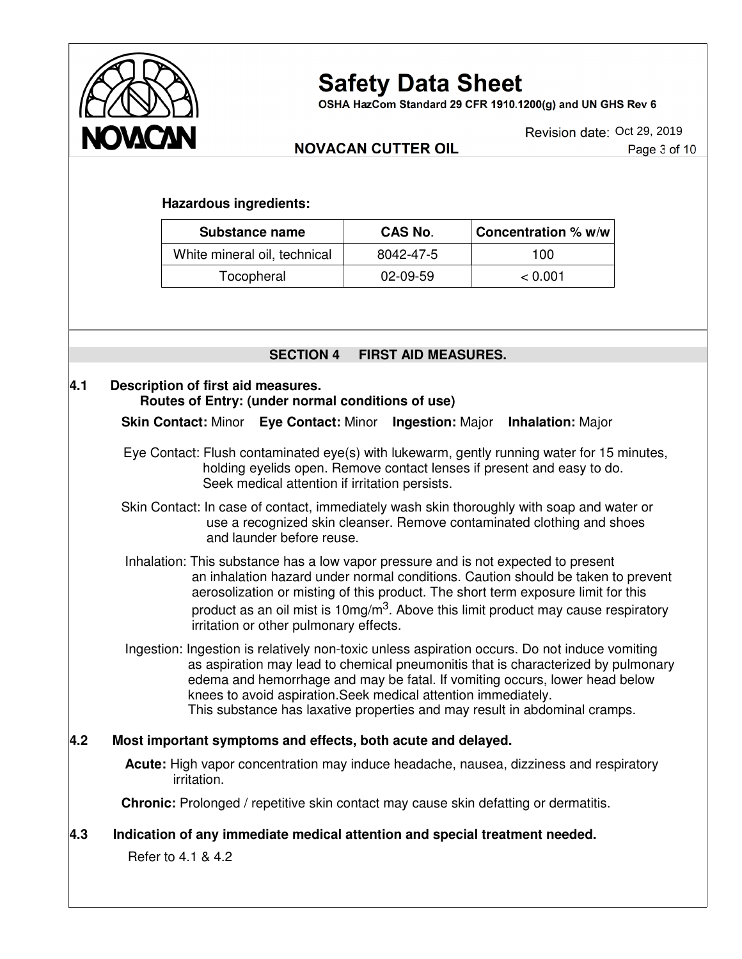

OSHA HazCom Standard 29 CFR 1910.1200(g) and UN GHS Rev 6

Revision date: Oct 29, 2019

#### **NOVACAN CUTTER OIL**

Page 3 of 10

#### **Hazardous ingredients:**

| Substance name               | CAS No.    | <b>Concentration % w/w</b> |
|------------------------------|------------|----------------------------|
| White mineral oil, technical | 8042-47-5  | 100                        |
| Tocopheral                   | $02-09-59$ | < 0.001                    |

#### **SECTION 4 FIRST AID MEASURES.**

#### **4.1 Description of first aid measures. Routes of Entry: (under normal conditions of use)**

**Skin Contact:** Minor **Eye Contact:** Minor **Ingestion:** Major **Inhalation:** Major

 Eye Contact: Flush contaminated eye(s) with lukewarm, gently running water for 15 minutes, holding eyelids open. Remove contact lenses if present and easy to do. Seek medical attention if irritation persists.

 Skin Contact: In case of contact, immediately wash skin thoroughly with soap and water or use a recognized skin cleanser. Remove contaminated clothing and shoes and launder before reuse.

 Inhalation: This substance has a low vapor pressure and is not expected to present an inhalation hazard under normal conditions. Caution should be taken to prevent aerosolization or misting of this product. The short term exposure limit for this product as an oil mist is 10mg/m<sup>3</sup>. Above this limit product may cause respiratory irritation or other pulmonary effects.

 Ingestion: Ingestion is relatively non-toxic unless aspiration occurs. Do not induce vomiting as aspiration may lead to chemical pneumonitis that is characterized by pulmonary edema and hemorrhage and may be fatal. If vomiting occurs, lower head below knees to avoid aspiration.Seek medical attention immediately. This substance has laxative properties and may result in abdominal cramps.

#### **4.2 Most important symptoms and effects, both acute and delayed.**

 **Acute:** High vapor concentration may induce headache, nausea, dizziness and respiratory irritation.

**Chronic:** Prolonged / repetitive skin contact may cause skin defatting or dermatitis.

#### **4.3 Indication of any immediate medical attention and special treatment needed.**

Refer to 4.1 & 4.2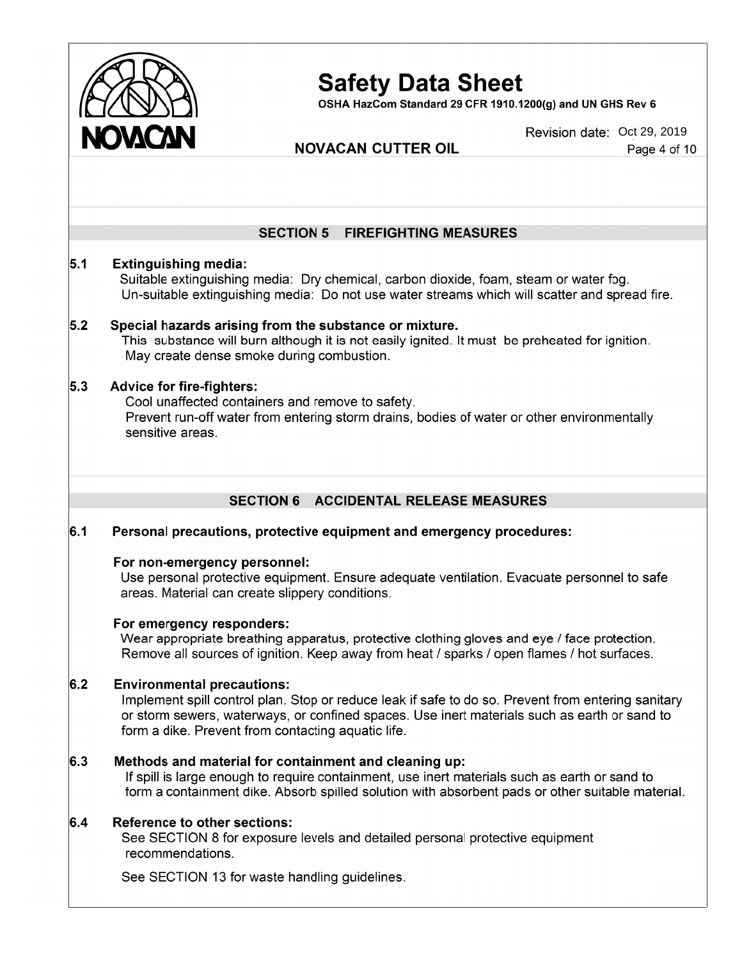

OSHA HazCom Standard 29 CFR 1910.1200(q) and UN GHS Rev 6

#### **NOVACAN CUTTER OIL**

Revision date: Oct 29, 2019 Page 4 of 10

### **SECTION 5 FIREFIGHTING MEASURES**  $5.1$ **Extinguishing media:** Suitable extinguishing media: Dry chemical, carbon dioxide, foam, steam or water fog. Un-suitable extinguishing media: Do not use water streams which will scatter and spread fire.  $5.2$ Special hazards arising from the substance or mixture. This substance will burn although it is not easily ignited. It must be preheated for ignition. May create dense smoke during combustion.  $5.3$ **Advice for fire-fighters:** Cool unaffected containers and remove to safety. Prevent run-off water from entering storm drains, bodies of water or other environmentally sensitive areas. **SECTION 6 ACCIDENTAL RELEASE MEASURES**  $6.1$ Personal precautions, protective equipment and emergency procedures: For non-emergency personnel: Use personal protective equipment. Ensure adequate ventilation. Evacuate personnel to safe areas. Material can create slippery conditions. For emergency responders: Wear appropriate breathing apparatus, protective clothing gloves and eye / face protection. Remove all sources of ignition. Keep away from heat / sparks / open flames / hot surfaces.  $6.2$ **Environmental precautions:** Implement spill control plan. Stop or reduce leak if safe to do so. Prevent from entering sanitary or storm sewers, waterways, or confined spaces. Use inert materials such as earth or sand to form a dike. Prevent from contacting aquatic life.  $6.3$ Methods and material for containment and cleaning up: If spill is large enough to require containment, use inert materials such as earth or sand to form a containment dike. Absorb spilled solution with absorbent pads or other suitable material.  $6.4$ **Reference to other sections:** See SECTION 8 for exposure levels and detailed personal protective equipment recommendations. See SECTION 13 for waste handling guidelines.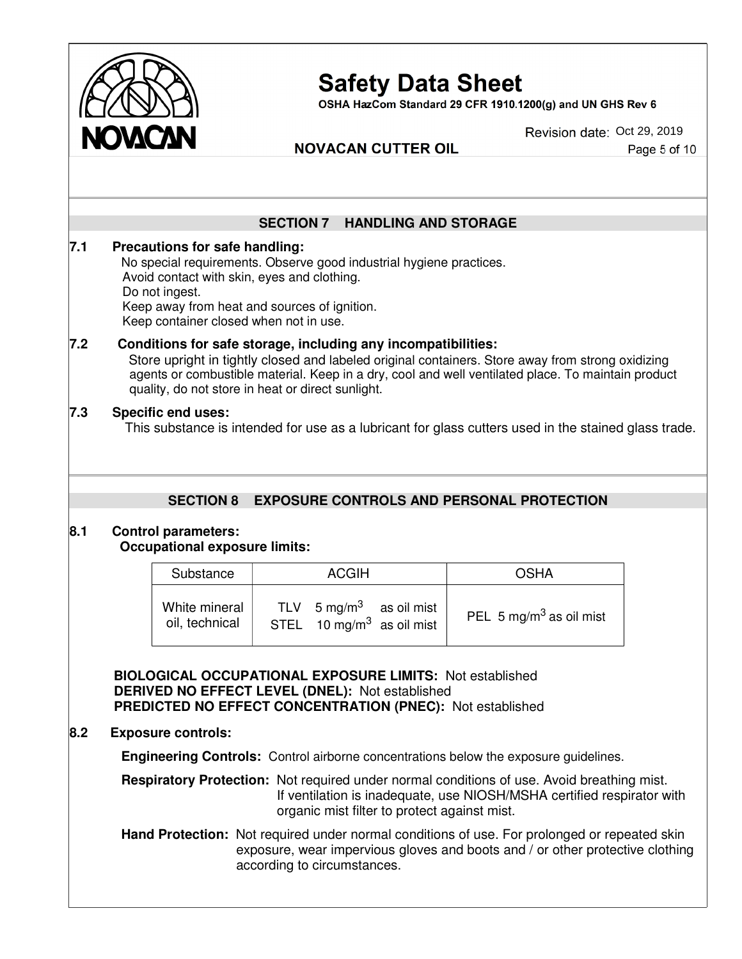

OSHA HazCom Standard 29 CFR 1910.1200(g) and UN GHS Rev 6

Revision date: Oct 29, 2019

Page 5 of 10

#### **NOVACAN CUTTER OIL**

|     |                                                                                                                                                                                                                                                                  | <b>SECTION 7</b> | <b>HANDLING AND STORAGE</b>                                        |                                                                                                                                                                                                         |  |  |
|-----|------------------------------------------------------------------------------------------------------------------------------------------------------------------------------------------------------------------------------------------------------------------|------------------|--------------------------------------------------------------------|---------------------------------------------------------------------------------------------------------------------------------------------------------------------------------------------------------|--|--|
| 7.1 | Precautions for safe handling:<br>No special requirements. Observe good industrial hygiene practices.<br>Avoid contact with skin, eyes and clothing.<br>Do not ingest.<br>Keep away from heat and sources of ignition.<br>Keep container closed when not in use. |                  |                                                                    |                                                                                                                                                                                                         |  |  |
| 7.2 | Conditions for safe storage, including any incompatibilities:<br>quality, do not store in heat or direct sunlight.                                                                                                                                               |                  |                                                                    | Store upright in tightly closed and labeled original containers. Store away from strong oxidizing<br>agents or combustible material. Keep in a dry, cool and well ventilated place. To maintain product |  |  |
| 7.3 | <b>Specific end uses:</b>                                                                                                                                                                                                                                        |                  |                                                                    | This substance is intended for use as a lubricant for glass cutters used in the stained glass trade.                                                                                                    |  |  |
|     |                                                                                                                                                                                                                                                                  |                  |                                                                    |                                                                                                                                                                                                         |  |  |
|     | <b>SECTION 8</b><br><b>Control parameters:</b><br><b>Occupational exposure limits:</b>                                                                                                                                                                           |                  |                                                                    | <b>EXPOSURE CONTROLS AND PERSONAL PROTECTION</b>                                                                                                                                                        |  |  |
|     | Substance                                                                                                                                                                                                                                                        |                  | <b>ACGIH</b>                                                       | <b>OSHA</b>                                                                                                                                                                                             |  |  |
| 8.1 | White mineral<br>oil, technical                                                                                                                                                                                                                                  | <b>TLV</b>       | 5 mg/m $3$<br>as oil mist<br>STEL 10 mg/m <sup>3</sup> as oil mist | PEL 5 mg/m <sup>3</sup> as oil mist                                                                                                                                                                     |  |  |

 **Engineering Controls:** Control airborne concentrations below the exposure guidelines.

 **Respiratory Protection:** Not required under normal conditions of use. Avoid breathing mist. If ventilation is inadequate, use NIOSH/MSHA certified respirator with organic mist filter to protect against mist.

Hand Protection: Not required under normal conditions of use. For prolonged or repeated skin exposure, wear impervious gloves and boots and / or other protective clothing according to circumstances.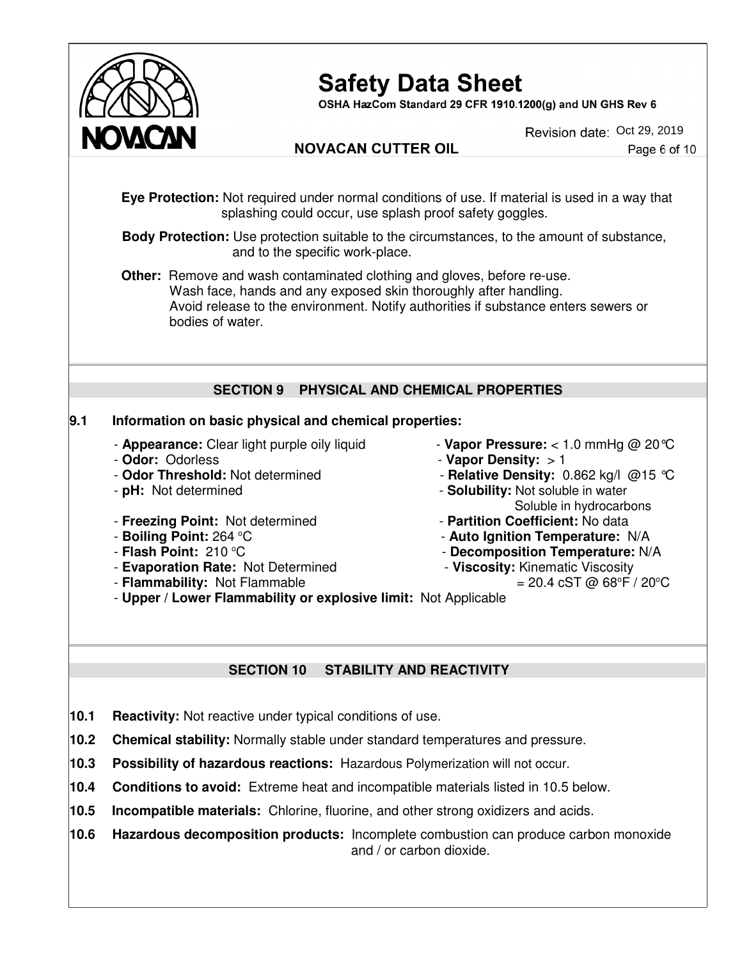

OSHA HazCom Standard 29 CFR 1910.1200(g) and UN GHS Rev 6

Revision date: Oct 29, 2019

#### **NOVACAN CUTTER OIL**

Page 6 of 10

 **Eye Protection:** Not required under normal conditions of use. If material is used in a way that splashing could occur, use splash proof safety goggles.

 **Body Protection:** Use protection suitable to the circumstances, to the amount of substance, and to the specific work-place.

**Other:** Remove and wash contaminated clothing and gloves, before re-use. Wash face, hands and any exposed skin thoroughly after handling. Avoid release to the environment. Notify authorities if substance enters sewers or bodies of water.

#### **SECTION 9 PHYSICAL AND CHEMICAL PROPERTIES**

#### **9.1 Information on basic physical and chemical properties:**

- **Appearance:** Clear light purple oily liquid **Vapor Pressure:** < 1.0 mmHg @ 20°C
- 
- 
- 
- **Freezing Point:** Not determined **Partition Coefficient:** No data
- **EXECUTE: 264 °C** FOR POINT: 264 °C
	-
	- **Evaporation Rate:** Not Determined<br>
	**Flammability:** Not Flammable **and Alternatic Viscosity:** Kinematic Viscosity *= 20.4* cST @ 68°F / 20°C
	- **Flammability: Not Flammable**
- **Odor:** Odorless **Vapor Density:** > 1
- **Odor Threshold:** Not determined **Relative Density:** 0.862 kg/l @15 °C
- **pH:** Not determined **Solubility:** Not soluble in water Soluble in hydrocarbons
	-
	- **Auto Ignition Temperature:** N/A
- Flash Point: 210 °C *Decomposition Temperature:* **N/A** 
	-

- **Upper / Lower Flammability or explosive limit:** Not Applicable

#### **SECTION 10 STABILITY AND REACTIVITY**

- **10.1 Reactivity:** Not reactive under typical conditions of use.
- **10.2 Chemical stability:** Normally stable under standard temperatures and pressure.
- **10.3 Possibility of hazardous reactions:** Hazardous Polymerization will not occur.
- **10.4 Conditions to avoid:** Extreme heat and incompatible materials listed in 10.5 below.
- **10.5 Incompatible materials:** Chlorine, fluorine, and other strong oxidizers and acids.
- **10.6 Hazardous decomposition products:** Incomplete combustion can produce carbon monoxide and / or carbon dioxide.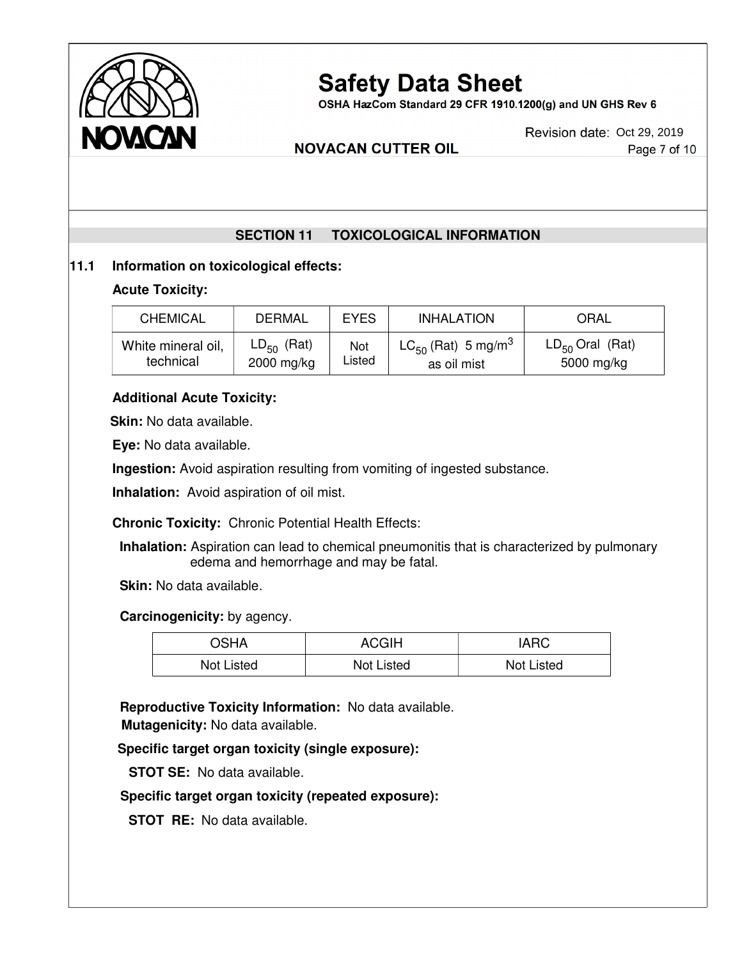

OSHA HazCom Standard 29 CFR 1910.1200(g) and UN GHS Rev 6

#### **NOVACAN CUTTER OIL**

#### Page 7 of 10

#### **SECTION 11 TOXICOLOGICAL INFORMATION**

#### **11.1 Information on toxicological effects:**

#### **Acute Toxicity:**

Ī

| <b>CHEMICAL</b>    | DERMAL          | <b>EYES</b> | <b>INHALATION</b>                          | ORAL                 |
|--------------------|-----------------|-------------|--------------------------------------------|----------------------|
| White mineral oil, | $LD_{50}$ (Rat) | Not         | LC <sub>50</sub> (Rat) 5 mg/m <sup>3</sup> | $LD_{50}$ Oral (Rat) |
| technical          | 2000 mg/kg      | Listed      | as oil mist                                | 5000 mg/kg           |

#### **Additional Acute Toxicity:**

**Skin:** No data available.

**Eye:** No data available.

**Ingestion:** Avoid aspiration resulting from vomiting of ingested substance.

**Inhalation:** Avoid aspiration of oil mist.

**Chronic Toxicity:** Chronic Potential Health Effects:

 **Inhalation:** Aspiration can lead to chemical pneumonitis that is characterized by pulmonary edema and hemorrhage and may be fatal.

**Skin:** No data available.

 **Carcinogenicity:** by agency.

| OSHA       | ACGIH      | <b>IARC</b> |
|------------|------------|-------------|
| Not Listed | Not Listed | Not Listed  |

 **Reproductive Toxicity Information:** No data available. **Mutagenicity:** No data available.

**Specific target organ toxicity (single exposure):** 

 **STOT SE:** No data available.

#### **Specific target organ toxicity (repeated exposure):**

**STOT RE:** No data available.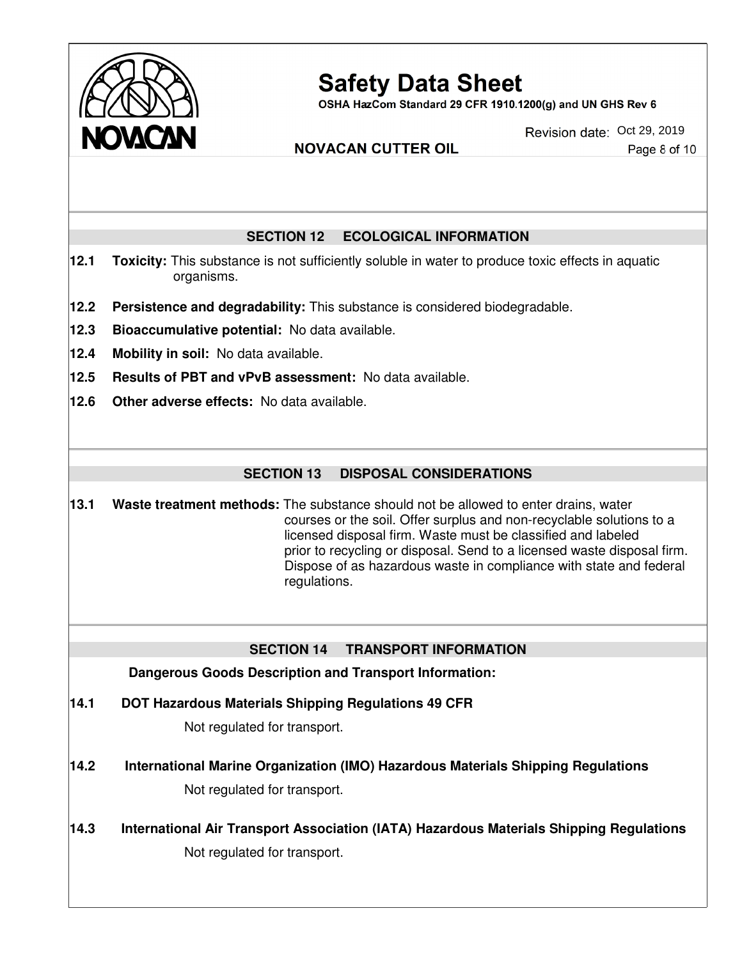

OSHA HazCom Standard 29 CFR 1910.1200(g) and UN GHS Rev 6

**NOVACAN CUTTER OIL** 

Revision date: Oct 29, 2019

Page 8 of 10

#### **SECTION 12 ECOLOGICAL INFORMATION**

- **12.1 Toxicity:** This substance is not sufficiently soluble in water to produce toxic effects in aquatic organisms.
- **12.2 Persistence and degradability:** This substance is considered biodegradable.
- **12.3 Bioaccumulative potential:** No data available.
- **12.4 Mobility in soil:** No data available.
- **12.5 Results of PBT and vPvB assessment:** No data available.
- **12.6 Other adverse effects:** No data available.

#### **SECTION 13 DISPOSAL CONSIDERATIONS**

**13.1 Waste treatment methods:** The substance should not be allowed to enter drains, water courses or the soil. Offer surplus and non-recyclable solutions to a licensed disposal firm. Waste must be classified and labeled prior to recycling or disposal. Send to a licensed waste disposal firm. Dispose of as hazardous waste in compliance with state and federal regulations.

#### **SECTION 14 TRANSPORT INFORMATION**

**Dangerous Goods Description and Transport Information:**

**14.1 DOT Hazardous Materials Shipping Regulations 49 CFR**

Not regulated for transport.

- **14.2 International Marine Organization (IMO) Hazardous Materials Shipping Regulations** Not regulated for transport.
- **14.3 International Air Transport Association (IATA) Hazardous Materials Shipping Regulations**  Not regulated for transport.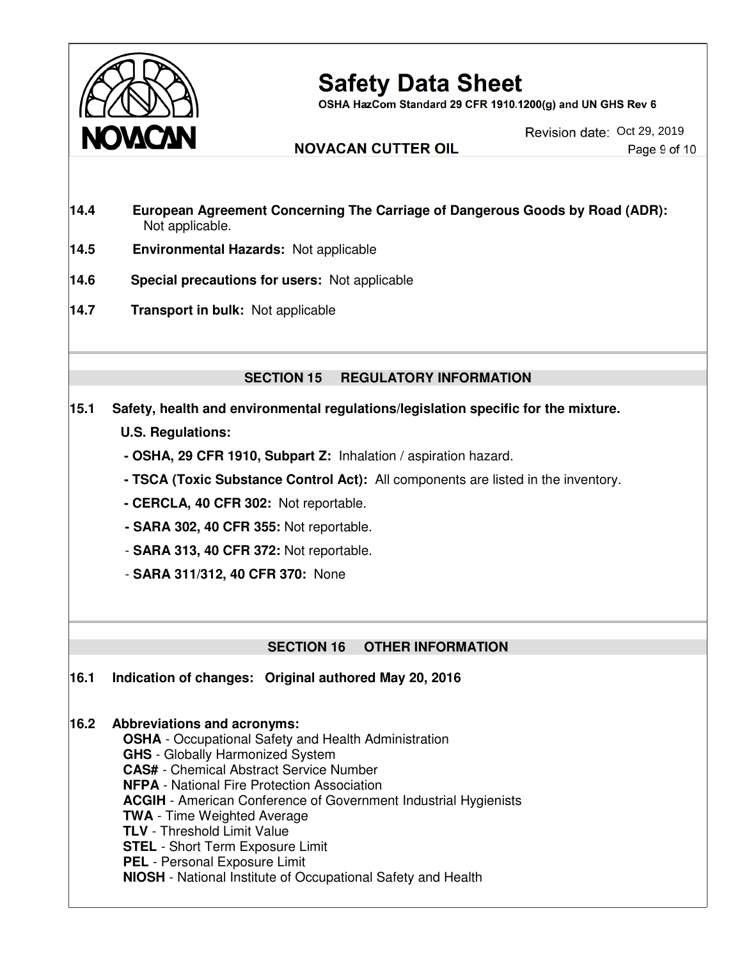

OSHA HazCom Standard 29 CFR 1910.1200(g) and UN GHS Rev 6

**NOVACAN CUTTER OIL** 

Revision date: Oct 29, 2019 Page 9 of 10

- **14.4 European Agreement Concerning The Carriage of Dangerous Goods by Road (ADR):** Not applicable.
- **14.5 Environmental Hazards:** Not applicable
- **14.6 Special precautions for users:** Not applicable
- **14.7 Transport in bulk:** Not applicable

#### **SECTION 15 REGULATORY INFORMATION**

- **15.1 Safety, health and environmental regulations/legislation specific for the mixture. U.S. Regulations:**
	- **OSHA, 29 CFR 1910, Subpart Z:** Inhalation / aspiration hazard.
	- **TSCA (Toxic Substance Control Act):** All components are listed in the inventory.
	- **CERCLA, 40 CFR 302:** Not reportable.
	- **SARA 302, 40 CFR 355:** Not reportable.
	- **SARA 313, 40 CFR 372:** Not reportable.
	- **SARA 311/312, 40 CFR 370:** None

#### **SECTION 16 OTHER INFORMATION**

**16.1 Indication of changes: Original authored May 20, 2016**

#### **16.2 Abbreviations and acronyms:**

 **OSHA** - Occupational Safety and Health Administration  **GHS** - Globally Harmonized System  **CAS#** - Chemical Abstract Service Number  **NFPA** - National Fire Protection Association  **ACGIH** - American Conference of Government Industrial Hygienists  **TWA** - Time Weighted Average  **TLV** - Threshold Limit Value  **STEL** - Short Term Exposure Limit  **PEL** - Personal Exposure Limit  **NIOSH** - National Institute of Occupational Safety and Health